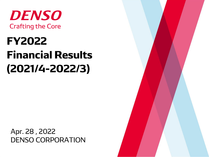

# **FY2022 Financial Results**  $(2021/4 - 2022/3)$

Apr. 28, 2022 **DENSO CORPORATION** 

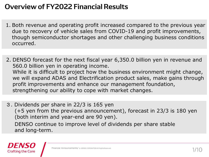#### **Overview of FY2022 Financial Results**

- 1. Both revenue and operating profit increased compared to the previous year due to recovery of vehicle sales from COVID-19 and profit improvements, though semiconductor shortages and other challenging business conditions occurred.
- 2. DENSO forecast for the next fiscal year 6,350.0 billion yen in revenue and 560.0 billion yen in operating income. While it is difficult to project how the business environment might change, we will expand ADAS and Electrification product sales, make gains through profit improvements and enhance our management foundation, strengthening our ability to cope with market changes.
- 3. Dividends per share in 22/3 is 165 yen (+5 yen from the previous announcement), forecast in 23/3 is 180 yen (both interim and year-end are 90 yen). DENSO continue to improve level of dividends per share stable and long-term.



Financial Announcements/ © DENSO COPORATION All RightsRes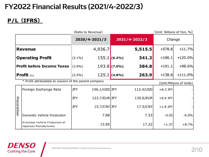# **FY2022 Financial Results (2021/4-2022/3)**

#### **P/L(IFRS)**

|              |                                                          | (Ratio to Revenue) |               |                |           |            | [Unit: Billions of Yen, %] |  |  |
|--------------|----------------------------------------------------------|--------------------|---------------|----------------|-----------|------------|----------------------------|--|--|
|              |                                                          | 2020/4-2021/3      |               | 2021/4-2022/3  |           | Change     |                            |  |  |
|              | <b>Revenue</b>                                           |                    | 4,936.7       |                | 5,515.5   | $+578.8$   | $+11.7%$                   |  |  |
|              | <b>Operating Profit</b>                                  | $(3.1\%)$          |               | $155.1$ (6.2%) | 341.2     | $+186.1$   | $+120.0%$                  |  |  |
|              | <b>Profit before Income Taxes</b>                        | $(3.9\%)$          |               | $193.8$ (7.0%) | 384.8     | $+191.1$   | $+98.6%$                   |  |  |
|              | <b>Profit</b> $(*)$                                      | $(2.5\%)$          |               | $125.1$ (4.8%) | 263.9     | $+138.8$   | $+111.0%$                  |  |  |
|              | * Profit attributable to owners of the parent company    |                    |               |                |           |            | [Unit:Millions of Units]   |  |  |
|              | Foreign Exchange Rate                                    | <b>JPY</b>         | 106.1/USD JPY |                | 112.4/USD | $+6.3$ JPY |                            |  |  |
|              |                                                          | <b>JPY</b>         | 123.7/EURJPY  |                | 130.6/EUR | $+6.9$ JPY |                            |  |  |
| Precondition |                                                          | <b>JPY</b>         | 15.7/CNY JPY  |                | 17.5/CNY  | $+1.8$ JPY |                            |  |  |
|              | Domestic Vehicle Production                              |                    | 7.88          |                | 7.33      | $-0.55$    | $-6.9%$                    |  |  |
|              | Overseas Vehicle Production of<br>Japanese Manufacturers |                    | 15.85         |                | 17.22     | $+1.37$    | $+8.7%$                    |  |  |

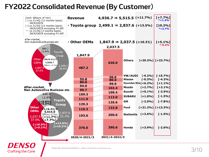#### **FY2022 Consolidated Revenue (By Customer)**



**Crafting the Core**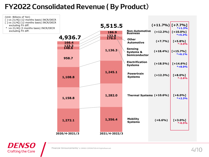#### **FY2022 Consolidated Revenue (By Product)**





(Unit: Billions of Yen)

excluding FX diff.

excluding FX diff.

Financial Announcements/ © DENSO COPORATION All RightsReserved.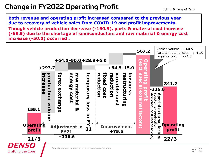# **Change in FY2022 Operating Profit**

**Both revenue and operating profit increased compared to the previous year due to recovery of vehicle sales from COVID-19 and profit improvements. Though vehicle production decrease (-160.5), parts & material cost increase (-65.5) due to the shortage of semiconductors and raw material & energy cost increase (-50.0) occurred .**

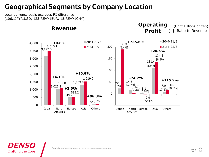#### **Geographical Segments by Company Location**

Local currency basis excludes FX difference (106.1JPY/1USD, 123.7JPY/1EUR, 15.7JPY/1CNY)

**DENSO** 

**Crafting the Core** 



(Unit: Billions of Yen)

Financial Announcements/ © DENSO COPORATION All RightsReserved.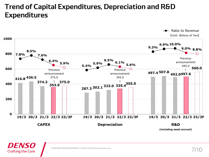#### **Trend of Capital Expenditures, Depreciation and R&D Expenditures**



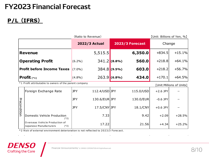# **FY2023 Financial Forecast**

#### P/L (IFRS)

|                                   | (Ratio to Revenue)   |                | [Unit: Billions of Yen, %] |         |          |          |
|-----------------------------------|----------------------|----------------|----------------------------|---------|----------|----------|
|                                   | <b>2022/3 Actual</b> |                | 2023/3 Forecast            |         | Change   |          |
| <b>Revenue</b>                    |                      | 5,515.5        |                            | 6,350.0 | $+834.5$ | $+15.1%$ |
| <b>Operating Profit</b>           | $(6.2\%)$            | $341.2$ (8.8%) |                            | 560.0   | $+218.8$ | $+64.1%$ |
| <b>Profit before Income Taxes</b> | $(7.0\%)$            |                | $384.8$ (9.5%)             | 603.0   | $+218.2$ | $+56.7%$ |
| Profit $(*_1)$                    | (4.8%)               | 263.9(6.8%)    |                            | 434.0   | $+170.1$ | $+64.5%$ |

\*1 Profit attributable to owners of the parent company

[Unit: Millions of Units]

|              | Foreign Exchange Rate                                              | <b>JPY</b> | 112.4/USD JPY | 115.0/USD | $+2.6$ JPY |          |
|--------------|--------------------------------------------------------------------|------------|---------------|-----------|------------|----------|
|              |                                                                    | <b>JPY</b> | 130.6/EUR JPY | 130.0/EUR | $-0.6$ JPY |          |
| Precondition |                                                                    | <b>JPY</b> | 17.5/CNY JPY  | 18.1/CNY  | $+0.6$ JPY |          |
|              | Domestic Vehicle Production<br>(*2)                                |            | 7.33          | 9.42      | $+2.09$    | $+28.5%$ |
|              | Overseas Vehicle Production of<br>Japanese Manufacturers<br>$(*2)$ |            | 17.22         | 21.56     | $+4.34$    | $+25.2%$ |

 $\mathbf{r}$ 

\*2 Risk of external environment deterioration is not reflected to 2023/3 Forecast.  $\alpha$ 

 $\mathbf{a} = \mathbf{a} \times \mathbf{a}$  .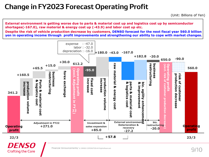#### **Change in FY2023 Forecast Operating Profit**

**External environment is getting worse due to parts & material cost up and logistics cost up by semiconductor shortages(-167.0), raw material & energy cost up (-43.9) and labor cost up etc.**

**Despite the risk of vehicle production decrease by customers, DENSO forecast for the next fiscal year 560.0 billion yen in operating income through profit improvements and strengthening our ability to cope with market changes.**



Financial Announcements/ © DENSO COPORATION All RightsReserved.

**Crafting the Core**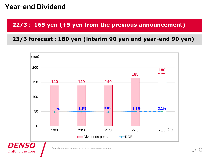#### **Year-end Dividend**

**Crafting the Core** 

#### **22/3 165 yen (+5 yen from the previous announcement)**

#### **23/3 forecast 180 yen (interim 90 yen and year-end 90 yen)**

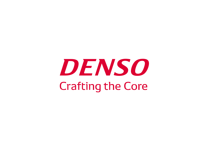# DENSO **Crafting the Core**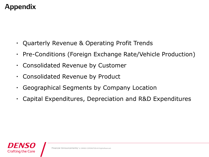# **Appendix**

- Quarterly Revenue & Operating Profit Trends
- ・ Pre-Conditions (Foreign Exchange Rate/Vehicle Production)
- ・ Consolidated Revenue by Customer
- Consolidated Revenue by Product
- Geographical Segments by Company Location
- Capital Expenditures, Depreciation and R&D Expenditures

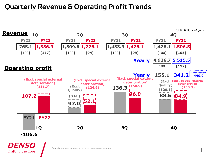#### **Quarterly Revenue & Operating Profit Trends**

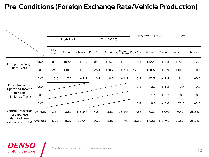# **Pre-Conditions (Foreign Exchange Rate/Vehicle Production)**

|                                      |            | $21/4 - 21/9$ |        |          | $21/10-22/3$ |        |                           | FY2022 Full Year |        |         | $22/4 - 23/3$ |          |
|--------------------------------------|------------|---------------|--------|----------|--------------|--------|---------------------------|------------------|--------|---------|---------------|----------|
|                                      |            | Prior<br>Year | Actual | Change   | Prior Year   | Actual | Change<br>from prior year | Prior Year       | Actual | Change  | Forecast      | Change   |
| Foreign Exchange                     | <b>USD</b> | 106.9         | 109.8  | $+2.9$   | 105.2        | 115.0  | $+9.8$                    | 106.1            | 112.4  | $+6.3$  | 115.0         | $+2.6$   |
| Rate (Yen)                           | <b>EUR</b> | 121.3         | 130.9  | $+9.6$   | 126.1        | 130.2  | $+4.1$                    | 123.7            | 130.6  | $+6.9$  | 130.0         | $-0.6$   |
|                                      | <b>CNY</b> | 15.3          | 17.0   | $+1.7$   | 16.1         | 18.0   | $+1.9$                    | 15.7             | 17.5   | $+1.8$  | 18.1          | $+0.6$   |
| Forex Impact on<br>Operating Income  | <b>USD</b> |               |        |          |              |        |                           | 2.1              | 3.3    | $+1.2$  | 3.4           | $+0.1$   |
| per Yen<br>(Billions of Yen)         | <b>EUR</b> |               |        |          |              |        |                           | 0.8              | 1.1    | $+0.3$  | 0.8           | $-0.3$   |
|                                      | <b>CNY</b> |               |        |          |              |        |                           |                  | 19.0   | $+3.6$  | 22.3          | $+3.3$   |
| Vehicle Production<br>of Japanese    | Domestic   | 3.34          | 3.53   | $+5.5%$  | 4.54         | 3.81   | $-16.1%$                  | 7.88             | 7.33   | $-6.9%$ | 9.42          | $+28.5%$ |
| Manufacturers<br>(Millions of Units) | Overseas   | 6.25          | 8.36   | $+33.9%$ | 9.60         | 8.86   | $-7.7%$                   | 15.85            | 17.22  | $+8.7%$ | 21.56         | $+25.2%$ |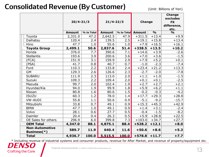#### **Consolidated Revenue (By Customer)**

(Unit: Billions of Yen)

|                                             | $20/4 - 21/3$ |            |               | $21/4 - 22/3$<br><b>Change</b> |               |               | <b>Change</b><br>excludes<br><b>FX</b><br>difference,<br>etc. |
|---------------------------------------------|---------------|------------|---------------|--------------------------------|---------------|---------------|---------------------------------------------------------------|
|                                             | <b>Amount</b> | % to Total | <b>Amount</b> | % to Total                     | <b>Amount</b> | $\frac{1}{2}$ | $\frac{1}{2}$                                                 |
| Toyota                                      | 2,331.0       | 47.2       | 2,642.5       | 47.9                           | $+311.5$      | $+13.4$       | $+9.9$                                                        |
| Daihatsu                                    | 120.4         | 2.4        | 139.5         | 2.5                            | $+19.1$       | $+15.8$       | $+13.4$                                                       |
| Hino                                        | 47.7          | 1.0        | 55.6          | 1.0                            | $+7.9$        | $+16.5$       | $+16.1$                                                       |
| <b>Toyota Group</b>                         | 2,499.1       | 50.6       | 2,837.6       | 51.4                           | $+338.5$      | $+13.5$       | $+10.2$                                                       |
| Honda                                       | 376.0         | 7.7        | 390.6         | 7.1                            | $+14.6$       | $+3.9$        | $-2.6$                                                        |
| <b>Stellantis</b>                           | 193.6         | 3.9        | 200.6         | 3.6                            | $+7.0$        | $+3.6$        | $-1.5$                                                        |
| (FCA)                                       | 151.9         | 3.1        | 159.9         | 2.9                            | $+7.9$        | $+5.2$        | $+0.1$                                                        |
| (PSA)                                       | 41.7          | 0.8        | 40.7          | 0.7                            | $-1.0$        | $-2.3$        | $-7.4$                                                        |
| Ford                                        | 110.3         | 2.2        | 133.8         | 2.4                            | $+23.4$       | $+21.2$       | $+13.3$                                                       |
| <b>GM</b>                                   | 129.3         | 2.6        | 126.6         | 2.3                            | $-2.7$        | $-2.0$        | $-7.8$                                                        |
| <b>SUBARU</b>                               | 111.9         | 2.3        | 113.0         | 2.0                            | $+1.1$        | $+1.0$        | $-1.5$                                                        |
| Suzuki                                      | 109.3         | 2.2        | 109.4         | 2.0                            | $+0.1$        | $+0.1$        | $-2.5$                                                        |
| Mazuda                                      | 99.7          | 2.0        | 102.4         | 1.9                            | $+2.7$        | $+2.7$        | $+2.1$                                                        |
| Hyundai/Kia                                 | 94.0          | 1.9        | 99.9          | 1.8                            | $+5.9$        | $+6.2$        | $+1.1$                                                        |
| Nissan                                      | 80.8          | 1.6        | 80.6          | 1.5                            | $-0.2$        | $-0.3$        | $-4.2$                                                        |
| <b>ISUZU</b>                                | 60.3          | 1.2        | 78.0          | 1.4                            | $+17.7$       | $+29.3$       | $+28.8$                                                       |
| <b>VW·AUDI</b>                              | 55.8          | 1.1        | 50.6          | 0.9                            | $-5.1$        | $-9.2$        | $-15.7$                                                       |
| Mitsubishi                                  | 33.8          | 0.7        | 49.1          | 0.9                            | $+15.3$       | $+45.3$       | $+42.9$                                                       |
| <b>BMW</b>                                  | 47.7          | 1.0        | 49.1          | 0.9                            | $+1.4$        | $+3.1$        | $-2.4$                                                        |
| Volvo                                       | 28.1          | 0.6        | 27.7          | 0.5                            | $-0.4$        | $-1.5$        | $-8.2$                                                        |
| Daimler                                     | 20.4          | 0.4        | 26.3          | 0.5                            | $+5.9$        | $+28.8$       | $+22.5$                                                       |
| OE Sales for others                         | 296.9         | 6.0        | 399.8         | 7.3                            | $+103.0$      | $+34.7$       | $+27.7$                                                       |
| <b>OEM Total</b>                            | 4,347.0       | 88.1       | 4,875.1       | 88.4                           | $+528.2$      | $+12.1$       | $+8.0$                                                        |
| <b>Non-Automotive</b><br><b>Business(*)</b> | 589.7         | 11.9       | 640.4         | 11.6                           | $+50.6$       | $+8.6$        | $+5.3$                                                        |
| <b>Total</b>                                | 4,936.7       | 100.0      | 5,515.5       | $\boxed{100.0}$                | $+578.8$      | $+11.7$       | $+7.7$                                                        |

\* Including revenue of industrial systems and consumer products, revenue for After Market, and revenue of property/equipment etc.<br>
THISO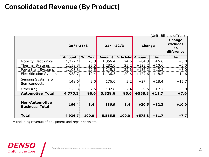#### **Consolidated Revenue (By Product)**

| (Unit: Billions of Yen)                        |               |            |               |            |               |               |                                                      |  |  |
|------------------------------------------------|---------------|------------|---------------|------------|---------------|---------------|------------------------------------------------------|--|--|
|                                                | $20/4 - 21/3$ |            | $21/4 - 22/3$ |            | <b>Change</b> |               | <b>Change</b><br>excludes<br><b>FX</b><br>difference |  |  |
|                                                | <b>Amount</b> | % to Total |               | % to Total | <b>Amount</b> | $\frac{0}{0}$ | $\frac{0}{0}$                                        |  |  |
| <b>Mobility Electronics</b>                    | 1,272.1       | 25.8       | 1,356.4       | 24.6       | $+84.3$       | $+6.6$        | $+3.0$                                               |  |  |
| <b>Thermal Systems</b>                         | 1,158.8       | 23.5       | 1,282.0       | 23.2       | $+123.2$      | $+10.6$       | $+6.0$                                               |  |  |
| Powertrain Systems                             | 1,108.8       | 22.5       | 1,245.1       | 22.6       | $+136.3$      | $+12.3$       | $+8.0$                                               |  |  |
| <b>Electrification Systems</b>                 | 958.7         | 19.4       | 1,136.3       | 20.6       | $+177.6$      | $+18.5$       | $+14.6$                                              |  |  |
| <b>Sensing Systems &amp;</b><br>Semiconductor  | 148.6         | 3.0        | 176.0         | 3.2        | $+27.4$       | $+18.4$       | $+15.7$                                              |  |  |
| Others $(*)$                                   | 123.3         | 2.5        | 132.8         | 2.4        | $+9.5$        | $+7.7$        | $+5.8$                                               |  |  |
| <b>Automotive Total</b>                        | 4,770.3       | 96.6       | 5,328.6       | 96.6       | $+558.3$      | $+11.7$       | $+7.6$                                               |  |  |
| <b>Non-Automotive</b><br><b>Business Total</b> | 166.4         | 3.4        | 186.9         | 3.4        | $+20.5$       | $+12.3$       | $+10.0$                                              |  |  |
| <b>Total</b>                                   | 4,936.7       | 100.0      | 5,515.5       | 100.0      | $+578.8$      | $+11.7$       | $+7.7$                                               |  |  |

\* Including revenue of equipment and repair parts etc.

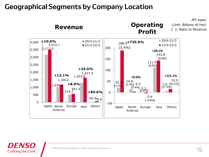#### **Geographical Segments by Company Location**